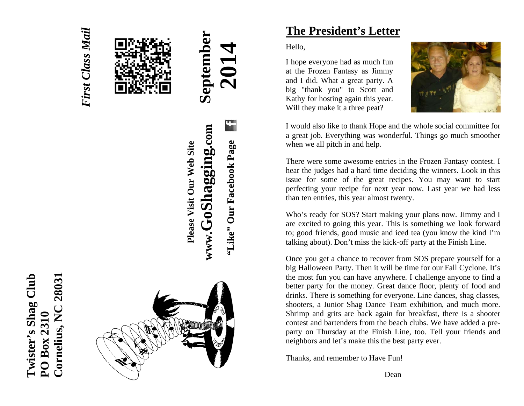

*First Class Mail* 

**First Class Mail** 



# $\mathbf{G}$ www.GoShagging.com **www.GoShagging.com "Like" Our Facebook Page**  "Like" Our Facebook Page

**Please Visit Our Web Site** 

Please Visit Our Web Site

# **The President's Letter**

Hello,

I hope everyone had as much fun at the Frozen Fantasy as Jimmy and I did. What a great party. A big "thank you" to Scott and Kathy for hosting again this year. Will they make it a three peat?



I would also like to thank Hope and the whole social committee for a great job. Everything was wonderful. Things go much smoother when we all pitch in and help.

There were some awesome entries in the Frozen Fantasy contest. I hear the judges had a hard time deciding the winners. Look in this issue for some of the great recipes. You may want to start perfecting your recipe for next year now. Last year we had less than ten entries, this year almost twenty.

Who's ready for SOS? Start making your plans now. Jimmy and I are excited to going this year. This is something we look forward to; good friends, good music and iced tea (you know the kind I'm talking about). Don't miss the kick-off party at the Finish Line.

Once you get a chance to recover from SOS prepare yourself for a big Halloween Party. Then it will be time for our Fall Cyclone. It's the most fun you can have anywhere. I challenge anyone to find a better party for the money. Great dance floor, plenty of food and drinks. There is something for everyone. Line dances, shag classes, shooters, a Junior Shag Dance Team exhibition, and much more. Shrimp and grits are back again for breakfast, there is a shooter contest and bartenders from the beach clubs. We have added a preparty on Thursday at the Finish Line, too. Tell your friends and neighbors and let's make this the best party ever.

Thanks, and remember to Have Fun!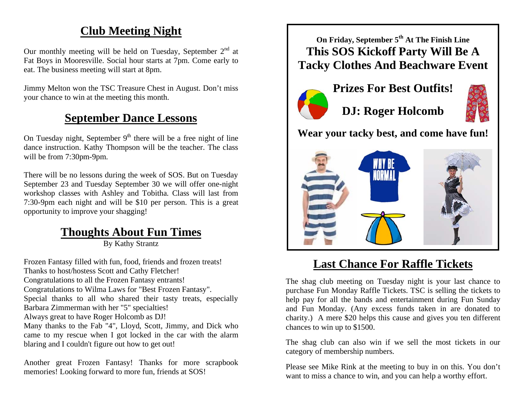# **Club Meeting Night**

Our monthly meeting will be held on Tuesday, September  $2<sup>nd</sup>$  at Fat Boys in Mooresville. Social hour starts at 7pm. Come early to eat. The business meeting will start at 8pm.

Jimmy Melton won the TSC Treasure Chest in August. Don't miss your chance to win at the meeting this month.

# **September Dance Lessons**

On Tuesday night, September  $9<sup>th</sup>$  there will be a free night of line dance instruction. Kathy Thompson will be the teacher. The class will be from 7:30pm-9pm.

There will be no lessons during the week of SOS. But on Tuesday September 23 and Tuesday September 30 we will offer one-night workshop classes with Ashley and Tobitha. Class will last from 7:30-9pm each night and will be \$10 per person. This is a great opportunity to improve your shagging!

# **Thoughts About Fun Times**

By Kathy Strantz

Frozen Fantasy filled with fun, food, friends and frozen treats! Thanks to host/hostess Scott and Cathy Fletcher! Congratulations to all the Frozen Fantasy entrants! Congratulations to Wilma Laws for "Best Frozen Fantasy". Special thanks to all who shared their tasty treats, especially Barbara Zimmerman with her "5" specialties! Always great to have Roger Holcomb as DJ! Many thanks to the Fab "4", Lloyd, Scott, Jimmy, and Dick who came to my rescue when I got locked in the car with the alarm blaring and I couldn't figure out how to get out!

Another great Frozen Fantasy! Thanks for more scrapbook memories! Looking forward to more fun, friends at SOS!

**On Friday, September 5th At The Finish Line This SOS Kickoff Party Will Be A Tacky Clothes And Beachware Event** 



**DJ: Roger Holcomb** 



**Wear your tacky best, and come have fun!** 



# **Last Chance For Raffle Tickets**

The shag club meeting on Tuesday night is your last chance to purchase Fun Monday Raffle Tickets. TSC is selling the tickets to help pay for all the bands and entertainment during Fun Sunday and Fun Monday. (Any excess funds taken in are donated to charity.) A mere \$20 helps this cause and gives you ten different chances to win up to \$1500.

The shag club can also win if we sell the most tickets in our category of membership numbers.

Please see Mike Rink at the meeting to buy in on this. You don't want to miss a chance to win, and you can help a worthy effort.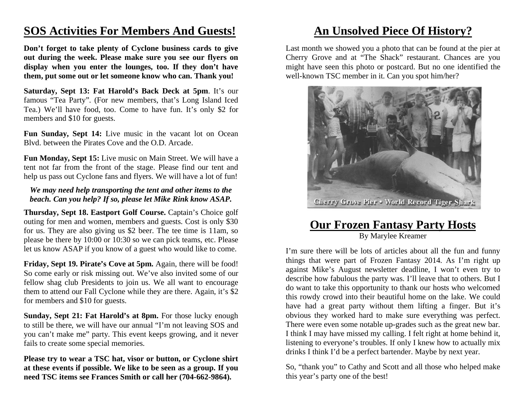### **SOS Activities For Members And Guests!**

**Don't forget to take plenty of Cyclone business cards to give out during the week. Please make sure you see our flyers on display when you enter the lounges, too. If they don't have them, put some out or let someone know who can. Thank you!** 

**Saturday, Sept 13: Fat Harold's Back Deck at 5pm**. It's our famous "Tea Party". (For new members, that's Long Island Iced Tea.) We'll have food, too. Come to have fun. It's only \$2 for members and \$10 for guests.

Fun Sunday, Sept 14: Live music in the vacant lot on Ocean Blvd. between the Pirates Cove and the O.D. Arcade.

**Fun Monday, Sept 15:** Live music on Main Street. We will have a tent not far from the front of the stage. Please find our tent and help us pass out Cyclone fans and flyers. We will have a lot of fun!

#### *We may need help transporting the tent and other items to the beach. Can you help? If so, please let Mike Rink know ASAP.*

**Thursday, Sept 18. Eastport Golf Course.** Captain's Choice golf outing for men and women, members and guests. Cost is only \$30 for us. They are also giving us \$2 beer. The tee time is 11am, so please be there by 10:00 or 10:30 so we can pick teams, etc. Please let us know ASAP if you know of a guest who would like to come.

**Friday, Sept 19. Pirate's Cove at 5pm.** Again, there will be food! So come early or risk missing out. We've also invited some of our fellow shag club Presidents to join us. We all want to encourage them to attend our Fall Cyclone while they are there. Again, it's \$2 for members and \$10 for guests.

**Sunday, Sept 21: Fat Harold's at 8pm.** For those lucky enough to still be there, we will have our annual "I'm not leaving SOS and you can't make me" party. This event keeps growing, and it never fails to create some special memories.

**Please try to wear a TSC hat, visor or button, or Cyclone shirt at these events if possible. We like to be seen as a group. If you need TSC items see Frances Smith or call her (704-662-9864).** 

# **An Unsolved Piece Of History?**

Last month we showed you a photo that can be found at the pier at Cherry Grove and at "The Shack" restaurant. Chances are you might have seen this photo or postcard. But no one identified the well-known TSC member in it. Can you spot him/her?



### **Our Frozen Fantasy Party Hosts** By Marylee Kreamer

I'm sure there will be lots of articles about all the fun and funny things that were part of Frozen Fantasy 2014. As I'm right up against Mike's August newsletter deadline, I won't even try to describe how fabulous the party was. I'll leave that to others. But I do want to take this opportunity to thank our hosts who welcomed this rowdy crowd into their beautiful home on the lake. We could have had a great party without them lifting a finger. But it's obvious they worked hard to make sure everything was perfect. There were even some notable up-grades such as the great new bar. I think I may have missed my calling. I felt right at home behind it, listening to everyone's troubles. If only I knew how to actually mix drinks I think I'd be a perfect bartender. Maybe by next year.

So, "thank you" to Cathy and Scott and all those who helped make this year's party one of the best!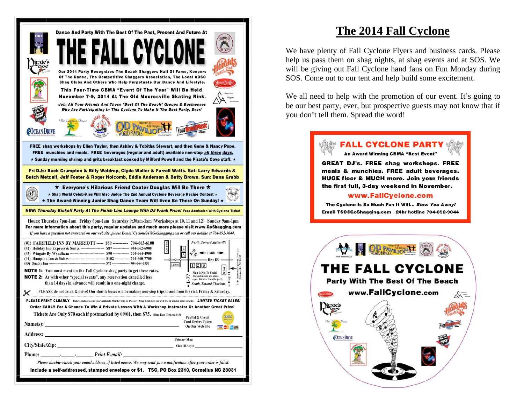| Dance And Party With The Best Of The Past, Present And Future At<br>ALL CYCLO<br>Our 2014 Party Recognizes The Beach Shaggers Hall Of Fame, Keepers<br>Of The Dance, The Competitive Shaggers Association, The Local ACSC<br>Shag Clubs And Others Who Help Perpetuate Our Dance And Lifestyle.<br>This Four-Time CBMA "Event Of The Year" Will Be Held<br>November 7-9, 2014 At The Old Mooresville Skating Rink.<br>Join All Your Friends And These "Best Of The Beach" Groups & Businesses<br>Who Are Participating In This Cyclone To Make It The Best Party, Ever!<br>The Captina Breeze<br>All Began<br><b>COCEAN DRIVE</b><br>AOM<br>FREE shag workshops by Ellen Taylor, then Ashley & Tobitha Stewart, and then Gene & Nancy Pope.<br>FREE munchies and meals. FREE beverages (regular and adult) available non-stop all three days.<br>$\star$ Sunday morning shrimp and grits breakfast cooked by Milford Powell and the Pirate's Cove staff. $\star$ |  |  |  |  |
|------------------------------------------------------------------------------------------------------------------------------------------------------------------------------------------------------------------------------------------------------------------------------------------------------------------------------------------------------------------------------------------------------------------------------------------------------------------------------------------------------------------------------------------------------------------------------------------------------------------------------------------------------------------------------------------------------------------------------------------------------------------------------------------------------------------------------------------------------------------------------------------------------------------------------------------------------------------|--|--|--|--|
|                                                                                                                                                                                                                                                                                                                                                                                                                                                                                                                                                                                                                                                                                                                                                                                                                                                                                                                                                                  |  |  |  |  |
| Fri DJs: Buck Crumpton & Billy Waldrep, Clyde Waller & Farrell Watts. Sat: Larry Edwards &<br>Butch Metcalf, Jeff Foster & Roger Holcomb, Eddie Anderson & Betty Brown. Sun: Dana Grubb                                                                                                                                                                                                                                                                                                                                                                                                                                                                                                                                                                                                                                                                                                                                                                          |  |  |  |  |
| ★ Everyone's Hilarious Friend Cooter Douglas Will Be There ★<br>$\triangle$ ation <sub>a</sub><br>Fathanie .<br>$\star$ Shag World Celebrities Will Also Judge The 2nd Annual Cyclone Beverage Recipe Contest $\star$<br>sociation<br>$\star$ The Award-Winning Junior Shag Dance Team Will Even Be There On Sunday! $\star$                                                                                                                                                                                                                                                                                                                                                                                                                                                                                                                                                                                                                                     |  |  |  |  |
| NEW: Thursday Kickoff Party At The Finish Line Lounge With DJ Frank Price! Free Admission With Cyclone Ticket                                                                                                                                                                                                                                                                                                                                                                                                                                                                                                                                                                                                                                                                                                                                                                                                                                                    |  |  |  |  |
| Hours: Thursday 7pm-1am Friday 6pm-1am Saturday 9:30am-1am (Workshops at 10, 11 and 12) Sunday 9am-1pm<br>For more information about this party, regular updates and much more please visit www.GoShagging.com<br>If you have a question not answered on our web site, please E-mail Cyclone24@GoShagging.com or call our hotline at 704-892-9044.                                                                                                                                                                                                                                                                                                                                                                                                                                                                                                                                                                                                               |  |  |  |  |
| <b>North, Toward Statesville</b><br>(#1) FAIRFIELD INN BY MARRIOTT ----- \$89 ----------- 704-663-6100<br>(#2) Holiday Inn Express & Suites ------------------ \$87 ------------- 704-662-6900<br>к.о.<br>$\widehat{\mathbf{a}}$<br>$-1$ Mile $-$<br>$\mathcal{L}$<br>14 Charlotte Highway (Hwy<br>Mooresville, NC 28115<br>(#4) Hampton Inn & Suites ------------------------------ \$102 ----------- 704-660-7700<br>- Hwy 150 -<br>Lowes<br>1 2 5<br><b>NOTE 1:</b> You must mention the Fall Cyclone shag party to get these rates.<br>Map Is Not To Scale!<br>ا≊ا<br>Also, all motels are about<br><b>NOTE 2:</b> As with other "special events", any reservation cancelled less<br>Hwy<br>equal distance from the party.<br>than 14 days in advance will result in a one-night charge.<br><b>South, Toward Charlotte</b><br>r,                                                                                                                             |  |  |  |  |
| PLEASE do not drink & drive! Our shuttle buses will be making non-stop trips to and from the rink Fridav & Saturdav.                                                                                                                                                                                                                                                                                                                                                                                                                                                                                                                                                                                                                                                                                                                                                                                                                                             |  |  |  |  |
| <b>PLEASE PRINT CLEARLY</b> Tickets include a one-year Associate Membership in Twister's Shag Club. See our web site or ask for more details. LIMITED TICKET SALES!<br>Order EARLY For A Chance To Win A Private Lesson With A Workshop Instructor Or Another Great Prize!<br>Tickets Are Only \$70 each if postmarked by 09/01, then \$75. (One-Day Tickets \$45)<br><b>RayPal</b><br>PayPal & Credit                                                                                                                                                                                                                                                                                                                                                                                                                                                                                                                                                           |  |  |  |  |
| <b>Card Orders Taken</b><br>On Our Web Site                                                                                                                                                                                                                                                                                                                                                                                                                                                                                                                                                                                                                                                                                                                                                                                                                                                                                                                      |  |  |  |  |
|                                                                                                                                                                                                                                                                                                                                                                                                                                                                                                                                                                                                                                                                                                                                                                                                                                                                                                                                                                  |  |  |  |  |
| <b>Primary Shag</b><br>City/State/Zip: 2008. The City State of the City State of the City State of the City State of the City State of the City State of the City State of the City State of the City State of the City State of the City State of th<br>Club (If Any):                                                                                                                                                                                                                                                                                                                                                                                                                                                                                                                                                                                                                                                                                          |  |  |  |  |
| Phone: Print E-mail:                                                                                                                                                                                                                                                                                                                                                                                                                                                                                                                                                                                                                                                                                                                                                                                                                                                                                                                                             |  |  |  |  |
| Please double-check your email address, if listed above. We may send you a notification after your order is filled.                                                                                                                                                                                                                                                                                                                                                                                                                                                                                                                                                                                                                                                                                                                                                                                                                                              |  |  |  |  |
| Include a self-addressed, stamped envelope or \$1. TSC, PO Box 2310, Cornelius NC 28031                                                                                                                                                                                                                                                                                                                                                                                                                                                                                                                                                                                                                                                                                                                                                                                                                                                                          |  |  |  |  |
|                                                                                                                                                                                                                                                                                                                                                                                                                                                                                                                                                                                                                                                                                                                                                                                                                                                                                                                                                                  |  |  |  |  |

### **The 2014 Fall Cyclone**

We have plenty of Fall Cyclone Flyers and business cards. Please help us pass them on shag nights, at shag events and at SOS. We will be giving out Fall Cyclone hand fans on Fun Monday during SOS. Come out to our tent and help build some excitement.

We all need to help with the promotion of our event. It's going to be our best party, ever, but prospective guests may not know that if you don't tell them. Spread the word!

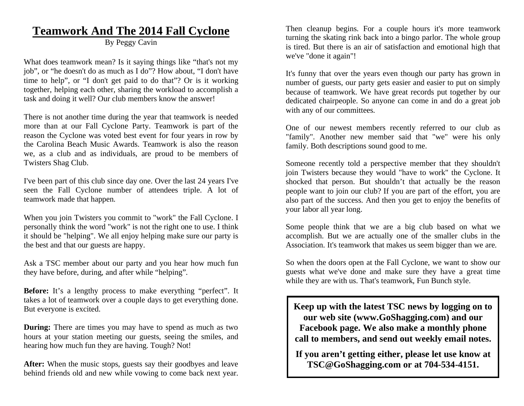### **Teamwork And The 2014 Fall Cyclone**

By Peggy Cavin

What does teamwork mean? Is it saying things like "that's not my job", or "he doesn't do as much as I do"? How about, "I don't have time to help", or "I don't get paid to do that"? Or is it working together, helping each other, sharing the workload to accomplish a task and doing it well? Our club members know the answer!

There is not another time during the year that teamwork is needed more than at our Fall Cyclone Party. Teamwork is part of the reason the Cyclone was voted best event for four years in row by the Carolina Beach Music Awards. Teamwork is also the reason we, as a club and as individuals, are proud to be members of Twisters Shag Club.

I've been part of this club since day one. Over the last 24 years I've seen the Fall Cyclone number of attendees triple. A lot of teamwork made that happen.

When you join Twisters you commit to "work" the Fall Cyclone. I personally think the word "work" is not the right one to use. I think it should be "helping". We all enjoy helping make sure our party is the best and that our guests are happy.

Ask a TSC member about our party and you hear how much fun they have before, during, and after while "helping".

**Before:** It's a lengthy process to make everything "perfect". It takes a lot of teamwork over a couple days to get everything done. But everyone is excited.

**During:** There are times you may have to spend as much as two hours at your station meeting our guests, seeing the smiles, and hearing how much fun they are having. Tough? Not!

**After:** When the music stops, guests say their goodbyes and leave behind friends old and new while vowing to come back next year.

Then cleanup begins. For a couple hours it's more teamwork turning the skating rink back into a bingo parlor. The whole group is tired. But there is an air of satisfaction and emotional high that we've "done it again"!

It's funny that over the years even though our party has grown in number of guests, our party gets easier and easier to put on simply because of teamwork. We have great records put together by our dedicated chairpeople. So anyone can come in and do a great job with any of our committees.

One of our newest members recently referred to our club as "family". Another new member said that "we" were his only family. Both descriptions sound good to me.

Someone recently told a perspective member that they shouldn't join Twisters because they would "have to work" the Cyclone. It shocked that person. But shouldn't that actually be the reason people want to join our club? If you are part of the effort, you are also part of the success. And then you get to enjoy the benefits of your labor all year long.

Some people think that we are a big club based on what we accomplish. But we are actually one of the smaller clubs in the Association. It's teamwork that makes us seem bigger than we are.

So when the doors open at the Fall Cyclone, we want to show our guests what we've done and make sure they have a great time while they are with us. That's teamwork, Fun Bunch style.

**Keep up with the latest TSC news by logging on to our web site (www.GoShagging.com) and our Facebook page. We also make a monthly phone call to members, and send out weekly email notes.** 

**If you aren't getting either, please let use know at TSC@GoShagging.com or at 704-534-4151.**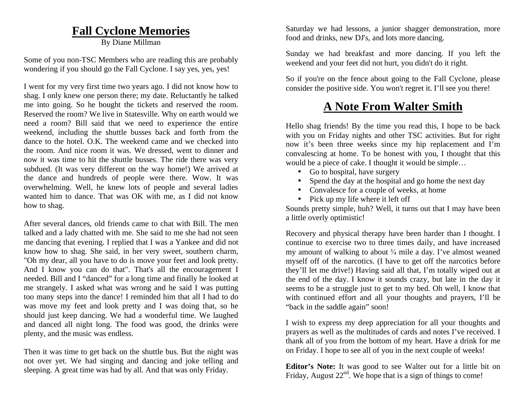### **Fall Cyclone Memories**

By Diane Millman

Some of you non-TSC Members who are reading this are probably wondering if you should go the Fall Cyclone. I say yes, yes, yes!

I went for my very first time two years ago. I did not know how to shag. I only knew one person there; my date. Reluctantly he talked me into going. So he bought the tickets and reserved the room. Reserved the room? We live in Statesville. Why on earth would we need a room? Bill said that we need to experience the entire weekend, including the shuttle busses back and forth from the dance to the hotel. O.K. The weekend came and we checked into the room. And nice room it was. We dressed, went to dinner and now it was time to hit the shuttle busses. The ride there was very subdued. (It was very different on the way home!) We arrived at the dance and hundreds of people were there. Wow. It was overwhelming. Well, he knew lots of people and several ladies wanted him to dance. That was OK with me, as I did not know how to shag.

After several dances, old friends came to chat with Bill. The men talked and a lady chatted with me. She said to me she had not seen me dancing that evening. I replied that I was a Yankee and did not know how to shag. She said, in her very sweet, southern charm, "Oh my dear, all you have to do is move your feet and look pretty. And I know you can do that". That's all the encouragement I needed. Bill and I "danced" for a long time and finally he looked at me strangely. I asked what was wrong and he said I was putting too many steps into the dance! I reminded him that all I had to do was move my feet and look pretty and I was doing that, so he should just keep dancing. We had a wonderful time. We laughed and danced all night long. The food was good, the drinks were plenty, and the music was endless.

Then it was time to get back on the shuttle bus. But the night was not over yet. We had singing and dancing and joke telling and sleeping. A great time was had by all. And that was only Friday.

Saturday we had lessons, a junior shagger demonstration, more food and drinks, new DJ's, and lots more dancing.

Sunday we had breakfast and more dancing. If you left the weekend and your feet did not hurt, you didn't do it right.

So if you're on the fence about going to the Fall Cyclone, please consider the positive side. You won't regret it. I'll see you there!

### **A Note From Walter Smith**

Hello shag friends! By the time you read this, I hope to be back with you on Friday nights and other TSC activities. But for right now it's been three weeks since my hip replacement and I'm convalescing at home. To be honest with you, I thought that this would be a piece of cake. I thought it would be simple...

- Go to hospital, have surgery
- $\bullet$ Spend the day at the hospital and go home the next day
- Convalesce for a couple of weeks, at home
- Pick up my life where it left off

Sounds pretty simple, huh? Well, it turns out that I may have been a little overly optimistic!

Recovery and physical therapy have been harder than I thought. I continue to exercise two to three times daily, and have increased my amount of walking to about  $\frac{3}{4}$  mile a day. I've almost weaned myself off of the narcotics. (I have to get off the narcotics before they'll let me drive!) Having said all that, I'm totally wiped out at the end of the day. I know it sounds crazy, but late in the day it seems to be a struggle just to get to my bed. Oh well, I know that with continued effort and all your thoughts and prayers, I'll be "back in the saddle again" soon!

I wish to express my deep appreciation for all your thoughts and prayers as well as the multitudes of cards and notes I've received. I thank all of you from the bottom of my heart. Have a drink for me on Friday. I hope to see all of you in the next couple of weeks!

**Editor's Note:** It was good to see Walter out for a little bit on Friday, August  $22<sup>nd</sup>$ . We hope that is a sign of things to come!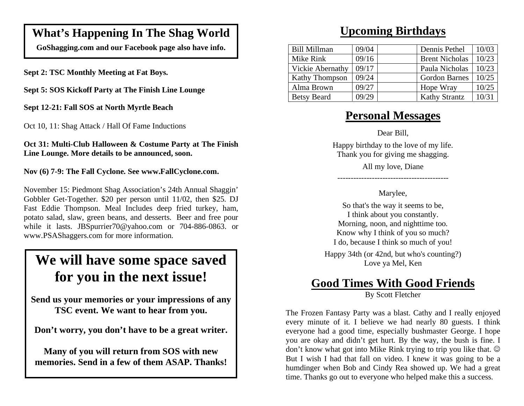### **What's Happening In The Shag World**

**GoShagging.com and our Facebook page also have info.** 

**Sept 2: TSC Monthly Meeting at Fat Boys.** 

**Sept 5: SOS Kickoff Party at The Finish Line Lounge** 

**Sept 12-21: Fall SOS at North Myrtle Beach** 

Oct 10, 11: Shag Attack / Hall Of Fame Inductions

**Oct 31: Multi-Club Halloween & Costume Party at The Finish Line Lounge. More details to be announced, soon.** 

**Nov (6) 7-9: The Fall Cyclone. See www.FallCyclone.com.** 

November 15: Piedmont Shag Association's 24th Annual Shaggin' Gobbler Get-Together. \$20 per person until 11/02, then \$25. DJ Fast Eddie Thompson. Meal Includes deep fried turkey, ham, potato salad, slaw, green beans, and desserts. Beer and free pour while it lasts. JBSpurrier70@yahoo.com or 704-886-0863. or www.PSAShaggers.com for more information.

# **We will have some space saved for you in the next issue!**

**Send us your memories or your impressions of any TSC event. We want to hear from you.** 

**Don't worry, you don't have to be a great writer.** 

**Many of you will return from SOS with new memories. Send in a few of them ASAP. Thanks!** 

### **Upcoming Birthdays**

| <b>Bill Millman</b>   | 09/04 | Dennis Pethel         | 10/03 |
|-----------------------|-------|-----------------------|-------|
| Mike Rink             | 09/16 | <b>Brent Nicholas</b> | 10/23 |
| Vickie Abernathy      | 09/17 | Paula Nicholas        | 10/23 |
| <b>Kathy Thompson</b> | 09/24 | <b>Gordon Barnes</b>  | 10/25 |
| Alma Brown            | 09/27 | Hope Wray             | 10/25 |
| <b>Betsy Beard</b>    | 09/29 | <b>Kathy Strantz</b>  | 10/31 |

### **Personal Messages**

Dear Bill,

Happy birthday to the love of my life. Thank you for giving me shagging.

All my love, Diane

### Marylee,

------------------------------------------

So that's the way it seems to be, I think about you constantly. Morning, noon, and nighttime too. Know why I think of you so much? I do, because I think so much of you!

Happy 34th (or 42nd, but who's counting?) Love ya Mel, Ken

# **Good Times With Good Friends**

By Scott Fletcher

The Frozen Fantasy Party was a blast. Cathy and I really enjoyed every minute of it. I believe we had nearly 80 guests. I think everyone had a good time, especially bushmaster George. I hope you are okay and didn't get hurt. By the way, the bush is fine. I don't know what got into Mike Rink trying to trip you like that. But I wish I had that fall on video. I knew it was going to be a humdinger when Bob and Cindy Rea showed up. We had a great time. Thanks go out to everyone who helped make this a success.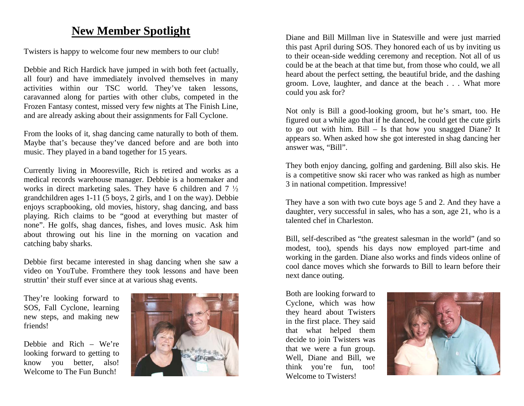### **New Member Spotlight**

Twisters is happy to welcome four new members to our club!

Debbie and Rich Hardick have jumped in with both feet (actually, all four) and have immediately involved themselves in many activities within our TSC world. They've taken lessons, caravanned along for parties with other clubs, competed in the Frozen Fantasy contest, missed very few nights at The Finish Line, and are already asking about their assignments for Fall Cyclone.

From the looks of it, shag dancing came naturally to both of them. Maybe that's because they've danced before and are both into music. They played in a band together for 15 years.

Currently living in Mooresville, Rich is retired and works as a medical records warehouse manager. Debbie is a homemaker and works in direct marketing sales. They have 6 children and  $7\frac{1}{2}$ grandchildren ages 1-11 (5 boys, 2 girls, and 1 on the way). Debbie enjoys scrapbooking, old movies, history, shag dancing, and bass playing. Rich claims to be "good at everything but master of none". He golfs, shag dances, fishes, and loves music. Ask him about throwing out his line in the morning on vacation and catching baby sharks.

Debbie first became interested in shag dancing when she saw a video on YouTube. Fromthere they took lessons and have been struttin' their stuff ever since at at various shag events.

They're looking forward to SOS, Fall Cyclone, learning new steps, and making new friends!

Debbie and Rich – We're looking forward to getting to know you better, also! Welcome to The Fun Bunch!



Diane and Bill Millman live in Statesville and were just married this past April during SOS. They honored each of us by inviting us to their ocean-side wedding ceremony and reception. Not all of us could be at the beach at that time but, from those who could, we all heard about the perfect setting, the beautiful bride, and the dashing groom. Love, laughter, and dance at the beach . . . What more could you ask for?

Not only is Bill a good-looking groom, but he's smart, too. He figured out a while ago that if he danced, he could get the cute girls to go out with him. Bill – Is that how you snagged Diane? It appears so. When asked how she got interested in shag dancing her answer was, "Bill".

They both enjoy dancing, golfing and gardening. Bill also skis. He is a competitive snow ski racer who was ranked as high as number 3 in national competition. Impressive!

They have a son with two cute boys age 5 and 2. And they have a daughter, very successful in sales, who has a son, age 21, who is a talented chef in Charleston.

Bill, self-described as "the greatest salesman in the world" (and so modest, too), spends his days now employed part-time and working in the garden. Diane also works and finds videos online of cool dance moves which she forwards to Bill to learn before their next dance outing.

Both are looking forward to Cyclone, which was how they heard about Twisters in the first place. They said that what helped them decide to join Twisters was that we were a fun group. Well, Diane and Bill, we think you're fun, too! Welcome to Twisters!

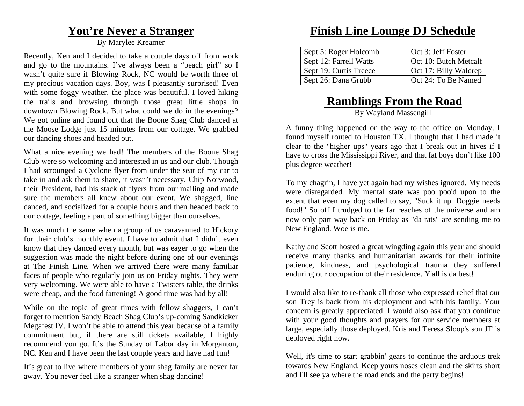### **You're Never a Stranger**

By Marylee Kreamer

Recently, Ken and I decided to take a couple days off from work and go to the mountains. I've always been a "beach girl" so I wasn't quite sure if Blowing Rock, NC would be worth three of my precious vacation days. Boy, was I pleasantly surprised! Even with some foggy weather, the place was beautiful. I loved hiking the trails and browsing through those great little shops in downtown Blowing Rock. But what could we do in the evenings? We got online and found out that the Boone Shag Club danced at the Moose Lodge just 15 minutes from our cottage. We grabbed our dancing shoes and headed out.

What a nice evening we had! The members of the Boone Shag Club were so welcoming and interested in us and our club. Though I had scrounged a Cyclone flyer from under the seat of my car to take in and ask them to share, it wasn't necessary. Chip Norwood, their President, had his stack of flyers from our mailing and made sure the members all knew about our event. We shagged, line danced, and socialized for a couple hours and then headed back to our cottage, feeling a part of something bigger than ourselves.

It was much the same when a group of us caravanned to Hickory for their club's monthly event. I have to admit that I didn't even know that they danced every month, but was eager to go when the suggestion was made the night before during one of our evenings at The Finish Line. When we arrived there were many familiar faces of people who regularly join us on Friday nights. They were very welcoming. We were able to have a Twisters table, the drinks were cheap, and the food fattening! A good time was had by all!

While on the topic of great times with fellow shaggers, I can't forget to mention Sandy Beach Shag Club's up-coming Sandkicker Megafest IV. I won't be able to attend this year because of a family commitment but, if there are still tickets available, I highly recommend you go. It's the Sunday of Labor day in Morganton, NC. Ken and I have been the last couple years and have had fun!

It's great to live where members of your shag family are never far away. You never feel like a stranger when shag dancing!

### **Finish Line Lounge DJ Schedule**

| Sept 5: Roger Holcomb  | Oct 3: Jeff Foster    |
|------------------------|-----------------------|
| Sept 12: Farrell Watts | Oct 10: Butch Metcalf |
| Sept 19: Curtis Treece | Oct 17: Billy Waldrep |
| Sept 26: Dana Grubb    | Oct 24: To Be Named   |

# **Ramblings From the Road**

By Wayland Massengill

A funny thing happened on the way to the office on Monday. I found myself routed to Houston TX. I thought that I had made it clear to the "higher ups" years ago that I break out in hives if I have to cross the Mississippi River, and that fat boys don't like 100 plus degree weather!

To my chagrin, I have yet again had my wishes ignored. My needs were disregarded. My mental state was poo poo'd upon to the extent that even my dog called to say, "Suck it up. Doggie needs food!" So off I trudged to the far reaches of the universe and am now only part way back on Friday as "da rats" are sending me to New England. Woe is me.

Kathy and Scott hosted a great wingding again this year and should receive many thanks and humanitarian awards for their infinite patience, kindness, and psychological trauma they suffered enduring our occupation of their residence. Y'all is da best!

I would also like to re-thank all those who expressed relief that our son Trey is back from his deployment and with his family. Your concern is greatly appreciated. I would also ask that you continue with your good thoughts and prayers for our service members at large, especially those deployed. Kris and Teresa Sloop's son JT is deployed right now.

Well, it's time to start grabbin' gears to continue the arduous trek towards New England. Keep yours noses clean and the skirts short and I'll see ya where the road ends and the party begins!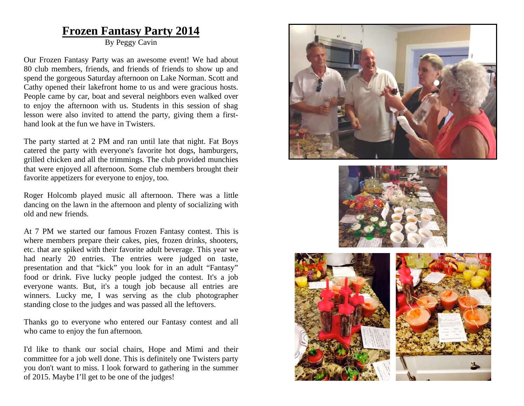### **Frozen Fantasy Party 2014**

By Peggy Cavin

Our Frozen Fantasy Party was an awesome event! We had about 80 club members, friends, and friends of friends to show up and spend the gorgeous Saturday afternoon on Lake Norman. Scott and Cathy opened their lakefront home to us and were gracious hosts. People came by car, boat and several neighbors even walked over to enjoy the afternoon with us. Students in this session of shag lesson were also invited to attend the party, giving them a firsthand look at the fun we have in Twisters.

The party started at 2 PM and ran until late that night. Fat Boys catered the party with everyone's favorite hot dogs, hamburgers, grilled chicken and all the trimmings. The club provided munchies that were enjoyed all afternoon. Some club members brought their favorite appetizers for everyone to enjoy, too.

Roger Holcomb played music all afternoon. There was a little dancing on the lawn in the afternoon and plenty of socializing with old and new friends.

At 7 PM we started our famous Frozen Fantasy contest. This is where members prepare their cakes, pies, frozen drinks, shooters, etc. that are spiked with their favorite adult beverage. This year we had nearly 20 entries. The entries were judged on taste, presentation and that "kick" you look for in an adult "Fantasy" food or drink. Five lucky people judged the contest. It's a job everyone wants. But, it's a tough job because all entries are winners. Lucky me, I was serving as the club photographer standing close to the judges and was passed all the leftovers.

Thanks go to everyone who entered our Fantasy contest and all who came to enjoy the fun afternoon.

I'd like to thank our social chairs, Hope and Mimi and their committee for a job well done. This is definitely one Twisters party you don't want to miss. I look forward to gathering in the summer of 2015. Maybe I'll get to be one of the judges!





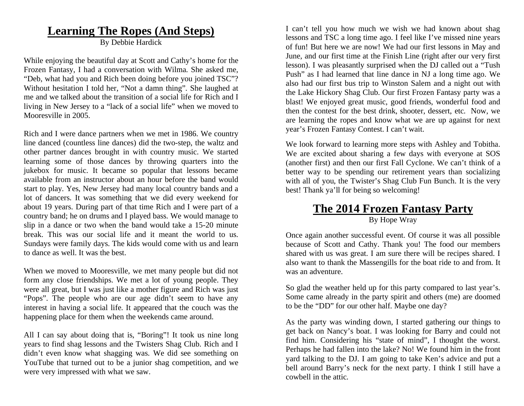### **Learning The Ropes (And Steps)**

By Debbie Hardick

While enjoying the beautiful day at Scott and Cathy's home for the Frozen Fantasy, I had a conversation with Wilma. She asked me, "Deb, what had you and Rich been doing before you joined TSC"? Without hesitation I told her, "Not a damn thing". She laughed at me and we talked about the transition of a social life for Rich and I living in New Jersey to a "lack of a social life" when we moved to Mooresville in 2005.

Rich and I were dance partners when we met in 1986. We country line danced (countless line dances) did the two-step, the waltz and other partner dances brought in with country music. We started learning some of those dances by throwing quarters into the jukebox for music. It became so popular that lessons became available from an instructor about an hour before the band would start to play. Yes, New Jersey had many local country bands and a lot of dancers. It was something that we did every weekend for about 19 years. During part of that time Rich and I were part of a country band; he on drums and I played bass. We would manage to slip in a dance or two when the band would take a 15-20 minute break. This was our social life and it meant the world to us. Sundays were family days. The kids would come with us and learn to dance as well. It was the best.

When we moved to Mooresville, we met many people but did not form any close friendships. We met a lot of young people. They were all great, but I was just like a mother figure and Rich was just "Pops". The people who are our age didn't seem to have any interest in having a social life. It appeared that the couch was the happening place for them when the weekends came around.

All I can say about doing that is, "Boring"! It took us nine long years to find shag lessons and the Twisters Shag Club. Rich and I didn't even know what shagging was. We did see something on YouTube that turned out to be a junior shag competition, and we were very impressed with what we saw.

I can't tell you how much we wish we had known about shag lessons and TSC a long time ago. I feel like I've missed nine years of fun! But here we are now! We had our first lessons in May and June, and our first time at the Finish Line (right after our very first lesson). I was pleasantly surprised when the DJ called out a "Tush Push" as I had learned that line dance in NJ a long time ago. We also had our first bus trip to Winston Salem and a night out with the Lake Hickory Shag Club. Our first Frozen Fantasy party was a blast! We enjoyed great music, good friends, wonderful food and then the contest for the best drink, shooter, dessert, etc. Now, we are learning the ropes and know what we are up against for next year's Frozen Fantasy Contest. I can't wait.

We look forward to learning more steps with Ashley and Tobitha. We are excited about sharing a few days with everyone at SOS (another first) and then our first Fall Cyclone. We can't think of a better way to be spending our retirement years than socializing with all of you, the Twister's Shag Club Fun Bunch. It is the very best! Thank ya'll for being so welcoming!

### **The 2014 Frozen Fantasy Party** By Hope Wray

Once again another successful event. Of course it was all possible because of Scott and Cathy. Thank you! The food our members shared with us was great. I am sure there will be recipes shared. I also want to thank the Massengills for the boat ride to and from. It was an adventure.

So glad the weather held up for this party compared to last year's. Some came already in the party spirit and others (me) are doomed to be the "DD" for our other half. Maybe one day?

As the party was winding down, I started gathering our things to get back on Nancy's boat. I was looking for Barry and could not find him. Considering his "state of mind", I thought the worst. Perhaps he had fallen into the lake? No! We found him in the front yard talking to the DJ. I am going to take Ken's advice and put a bell around Barry's neck for the next party. I think I still have a cowbell in the attic.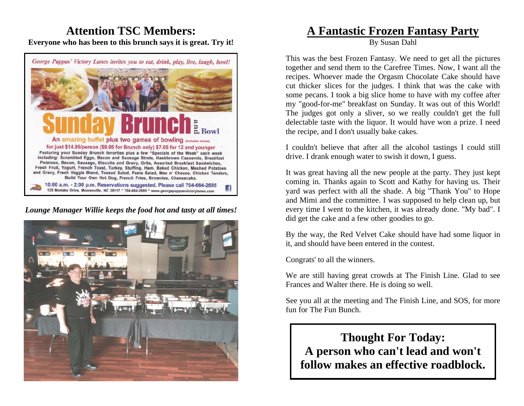### **Attention TSC Members: Everyone who has been to this brunch says it is great. Try it!**



*Lounge Manager Willie keeps the food hot and tasty at all times!* 



### **A Fantastic Frozen Fantasy Party**

By Susan Dahl

This was the best Frozen Fantasy. We need to get all the pictures together and send them to the Carefree Times. Now, I want all the recipes. Whoever made the Orgasm Chocolate Cake should have cut thicker slices for the judges. I think that was the cake with some pecans. I took a big slice home to have with my coffee after my "good-for-me" breakfast on Sunday. It was out of this World! The judges got only a sliver, so we really couldn't get the full delectable taste with the liquor. It would have won a prize. I need the recipe, and I don't usually bake cakes.

I couldn't believe that after all the alcohol tastings I could still drive. I drank enough water to swish it down, I guess.

It was great having all the new people at the party. They just kept coming in. Thanks again to Scott and Kathy for having us. Their yard was perfect with all the shade. A big "Thank You" to Hope and Mimi and the committee. I was supposed to help clean up, but every time I went to the kitchen, it was already done. "My bad". I did get the cake and a few other goodies to go.

By the way, the Red Velvet Cake should have had some liquor in it, and should have been entered in the contest.

Congrats' to all the winners.

We are still having great crowds at The Finish Line. Glad to see Frances and Walter there. He is doing so well.

See you all at the meeting and The Finish Line, and SOS, for more fun for The Fun Bunch.

**Thought For Today: A person who can't lead and won't follow makes an effective roadblock.**